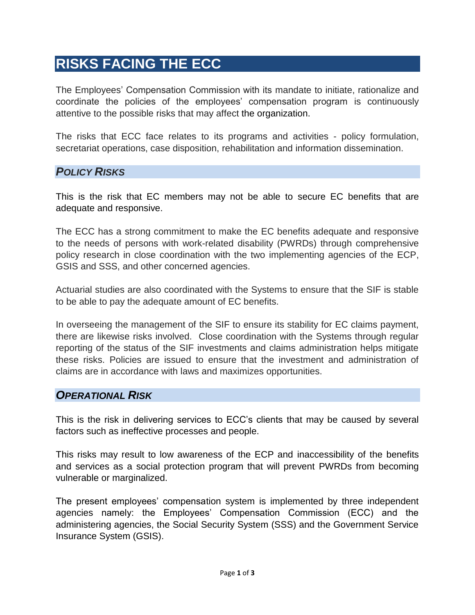# **RISKS FACING THE ECC**

The Employees' Compensation Commission with its mandate to initiate, rationalize and coordinate the policies of the employees' compensation program is continuously attentive to the possible risks that may affect the organization.

The risks that ECC face relates to its programs and activities - policy formulation, secretariat operations, case disposition, rehabilitation and information dissemination.

#### *POLICY RISKS*

This is the risk that EC members may not be able to secure EC benefits that are adequate and responsive.

The ECC has a strong commitment to make the EC benefits adequate and responsive to the needs of persons with work-related disability (PWRDs) through comprehensive policy research in close coordination with the two implementing agencies of the ECP, GSIS and SSS, and other concerned agencies.

Actuarial studies are also coordinated with the Systems to ensure that the SIF is stable to be able to pay the adequate amount of EC benefits.

In overseeing the management of the SIF to ensure its stability for EC claims payment, there are likewise risks involved. Close coordination with the Systems through regular reporting of the status of the SIF investments and claims administration helps mitigate these risks. Policies are issued to ensure that the investment and administration of claims are in accordance with laws and maximizes opportunities.

### *OPERATIONAL RISK*

This is the risk in delivering services to ECC's clients that may be caused by several factors such as ineffective processes and people.

This risks may result to low awareness of the ECP and inaccessibility of the benefits and services as a social protection program that will prevent PWRDs from becoming vulnerable or marginalized.

The present employees' compensation system is implemented by three independent agencies namely: the Employees' Compensation Commission (ECC) and the administering agencies, the Social Security System (SSS) and the Government Service Insurance System (GSIS).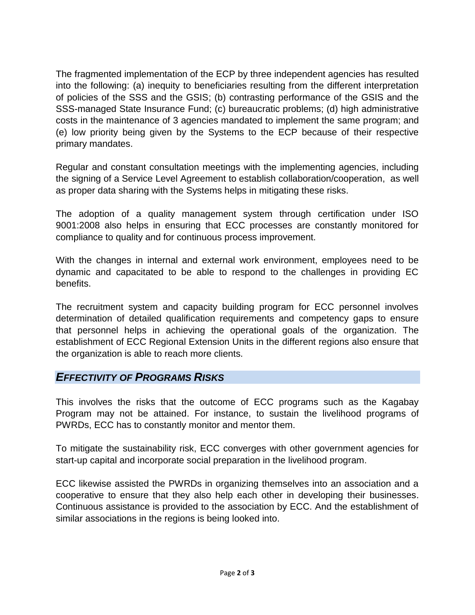The fragmented implementation of the ECP by three independent agencies has resulted into the following: (a) inequity to beneficiaries resulting from the different interpretation of policies of the SSS and the GSIS; (b) contrasting performance of the GSIS and the SSS-managed State Insurance Fund; (c) bureaucratic problems; (d) high administrative costs in the maintenance of 3 agencies mandated to implement the same program; and (e) low priority being given by the Systems to the ECP because of their respective primary mandates.

Regular and constant consultation meetings with the implementing agencies, including the signing of a Service Level Agreement to establish collaboration/cooperation, as well as proper data sharing with the Systems helps in mitigating these risks.

The adoption of a quality management system through certification under ISO 9001:2008 also helps in ensuring that ECC processes are constantly monitored for compliance to quality and for continuous process improvement.

With the changes in internal and external work environment, employees need to be dynamic and capacitated to be able to respond to the challenges in providing EC benefits.

The recruitment system and capacity building program for ECC personnel involves determination of detailed qualification requirements and competency gaps to ensure that personnel helps in achieving the operational goals of the organization. The establishment of ECC Regional Extension Units in the different regions also ensure that the organization is able to reach more clients.

#### *EFFECTIVITY OF PROGRAMS RISKS*

This involves the risks that the outcome of ECC programs such as the Kagabay Program may not be attained. For instance, to sustain the livelihood programs of PWRDs, ECC has to constantly monitor and mentor them.

To mitigate the sustainability risk, ECC converges with other government agencies for start-up capital and incorporate social preparation in the livelihood program.

ECC likewise assisted the PWRDs in organizing themselves into an association and a cooperative to ensure that they also help each other in developing their businesses. Continuous assistance is provided to the association by ECC. And the establishment of similar associations in the regions is being looked into.